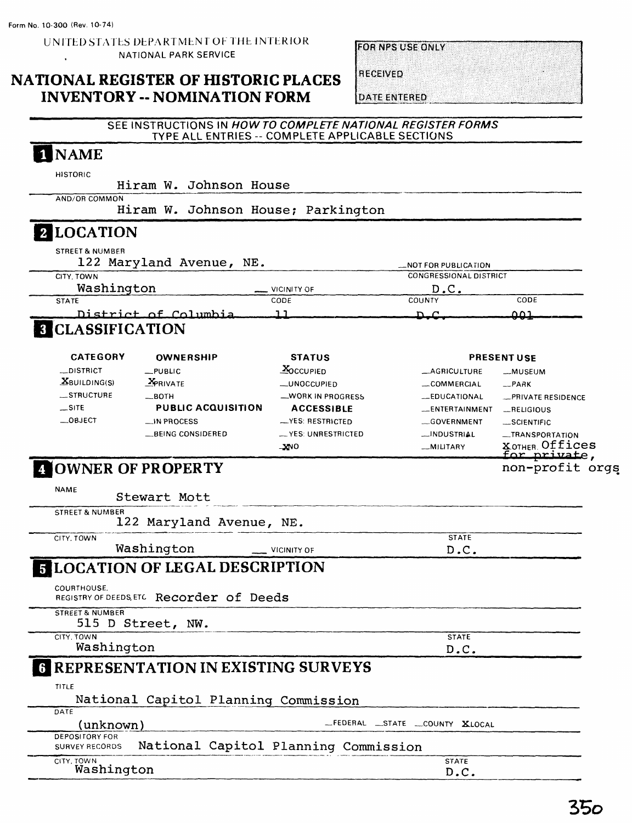### **NATIONAL REGISTER OF HISTORIC PLACES INVENTORY -- NOMINATION FORM**

**FOR NPS USE ONLY** 

**RECEIVED** 

**DATE ENTERED** 

### SEE INSTRUCTIONS IN HOW TO COMPLETE NATIONAL REGISTER FORMS TYPE ALL ENTRIES -- COMPLETE APPLICABLE SECTIONS

### I NAME

HISTORIC

Hiram W. Johnson House

Hiram W. Johnson House; Parkington

### **LOCATION**

AND/OR COMMON

| <b>STREET &amp; NUMBER</b>          |                                                     |                               |       |
|-------------------------------------|-----------------------------------------------------|-------------------------------|-------|
| 122 Maryland Avenue, NE.            |                                                     | <b>NOT FOR PUBLICATION</b>    |       |
| CITY, TOWN                          |                                                     | <b>CONGRESSIONAL DISTRICT</b> |       |
| Washington                          | <b>VICINITY OF</b><br><b><i><u>Property</u></i></b> | D.C.                          |       |
| <b>STATE</b>                        | CODE                                                | COUNTY                        | CODE  |
| District of Columbia                |                                                     | n c                           | ר ח ח |
| $\ldots$ $\ldots$ $\ldots$ $\ldots$ |                                                     |                               |       |

### **8 CLASSIFICATION**

| <b>CATEGORY</b>                                                        | <b>OWNERSHIP</b>          | <b>STATUS</b>      |                | <b>PRESENT USE</b>                          |
|------------------------------------------------------------------------|---------------------------|--------------------|----------------|---------------------------------------------|
| <b>__DISTRICT</b>                                                      | $-$ PUBLIC                | <b>XOCCUPIED</b>   | _AGRICULTURE   | -MUSEUM                                     |
| $X$ BUILDING(S)                                                        | <b>X</b> PRIVATE          | <b>_UNOCCUPIED</b> | COMMERCIAL     | $-$ PARK                                    |
| STRUCTURE                                                              | $\equiv$ BOTH             | -WORK IN PROGRESS  | -EDUCATIONAL   | -PRIVATE RESIDENCE                          |
| $\equiv$ SITE                                                          | <b>PUBLIC ACQUISITION</b> | <b>ACCESSIBLE</b>  | -ENTERTAINMENT | RELIGIOUS                                   |
| $\rule{0pt}{0pt}$ $\sim$ $0$ $\approx$ $0$ $\approx$ $0$ $\approx$ $0$ | $\Box$ IN PROCESS         | $-YES: RESTRICTED$ | GOVERNMENT     | __SCIENTIFIC                                |
|                                                                        | __BEING CONSIDERED        | -YES: UNRESTRICTED | __INDUSTRIAL   | -TRANSPORTATION                             |
|                                                                        |                           | $-300$             | -MILITARY      | <b>XOTHER Offices</b><br><u>for private</u> |
|                                                                        |                           |                    |                |                                             |

### OWNER OF PROPERTY

NAME

Stewart Mott

STREET & NUMBER 122 Maryland Avenue, NE.

CITY. TOWN

Washington \_\_ VICINITY OF

# LOCATION OF LEGAL DESCRIPTION

COURTHOUSE.

REGISTRY OF DEEDS,ETC **Recorder of Deeds**

STREET & NUMBER 515 D Street, NW,

CITY. TOWN

Washington

### REPRESENTATION IN EXISTING SURVEYS

TITLE

|      |  | National Capitol Planning Commission |
|------|--|--------------------------------------|
| DATE |  |                                      |

(unknown)

— FEDERAL —STATE —COUNTY XLOCAL

| DEPOSITORY FOR        |  |                                      |
|-----------------------|--|--------------------------------------|
| <b>SURVEY RECORDS</b> |  | National Capitol Planning Commission |

CITY, TOWN Washington **STATE** D.C.

**STATE** D.C.

**STATE** D.C, non-profit orgs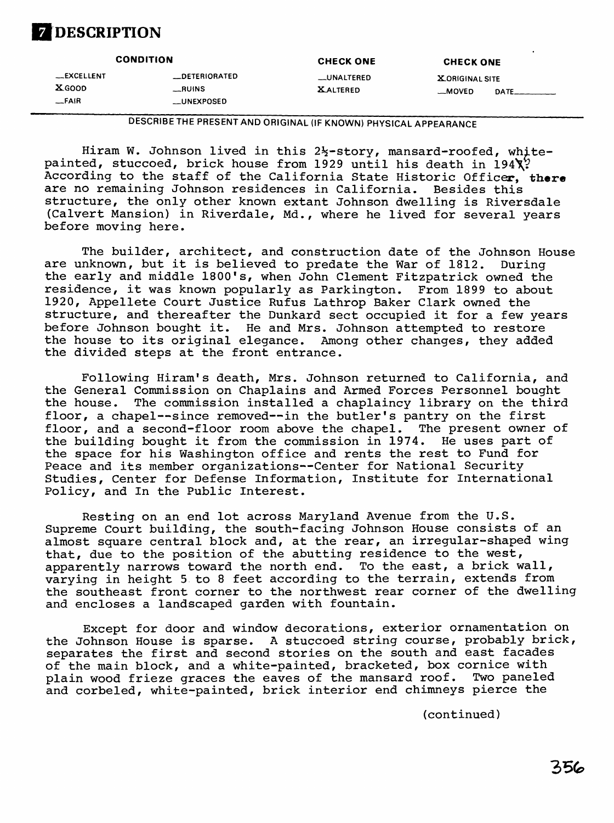## **DESCRIPTION**

| <b>CONDITION</b>                 |                                       | <b>CHECK ONE</b>               | <b>CHECK ONE</b>                 |  |
|----------------------------------|---------------------------------------|--------------------------------|----------------------------------|--|
| __EXCELLENT<br>XGOOD<br>$-$ FAIR | __DETERIORATED<br>RUNS<br>__UNEXPOSED | __UNALTERED<br><b>XALTERED</b> | <b>XORIGINAL SITE</b><br>__MOVED |  |

**DESCRIBE THE PRESENT AND ORIGINAL (IF KNOWN) PHYSICAL APPEARANCE**

Hiram W. Johnson lived in this  $2\frac{1}{2}$ -story, mansard-roofed, whitepainted, stuccoed, brick house from 1929 until his death in  $194\lambda$ ? According to the staff of the California State Historic Officer, there are no remaining Johnson residences in California. Besides this structure, the only other known extant Johnson dwelling is Riversdale (Calvert Mansion) in Riverdale, Md., where he lived for several years before moving here.

The builder, architect, and construction date of the Johnson House are unknown, but it is believed to predate the War of 1812. During the early and middle 1800's, when John Clement Fitzpatrick owned the residence, it was known popularly as Parkington. From 1899 to about 1920, Appellete Court Justice Rufus Lathrop Baker Clark owned the structure, and thereafter the Dunkard sect occupied it for a few years before Johnson bought it. He and Mrs. Johnson attempted to restore the house to its original elegance. Among other changes, they added the divided steps at the front entrance.

Following Hiram's death, Mrs. Johnson returned to California, and the General Commission on Chaplains and Armed Forces Personnel bought the house. The commission installed a chaplaincy library on the third floor, a chapel--since removed--in the butler's pantry on the first floor, and a second-floor room above the chapel. The present owner of<br>the building bought it from the commission in 1974. He uses part of the building bought it from the commission in 1974. the space for his Washington office and rents the rest to Fund for Peace and its member organizations--Center for National Security Studies, Center for Defense Information, Institute for International Policy, and In the Public Interest.

Resting on an end lot across Maryland Avenue from the U.S. Supreme Court building, the south-facing Johnson House consists of an almost square central block and, at the rear, an irregular-shaped wing that, due to the position of the abutting residence to the west, apparently narrows toward the north end. To the east, a brick wall, varying in height 5 to 8 feet according to the terrain, extends from the southeast front corner to the northwest rear corner of the dwelling and encloses a landscaped garden with fountain.

Except for door and window decorations, exterior ornamentation on the Johnson House is sparse. A stuccoed string course, probably brick, separates the first and second stories on the south and east facades of the main block, and a white-painted, bracketed, box cornice with plain wood frieze graces the eaves of the mansard roof. Two paneled and corbeled, white-painted, brick interior end chimneys pierce the

(continued)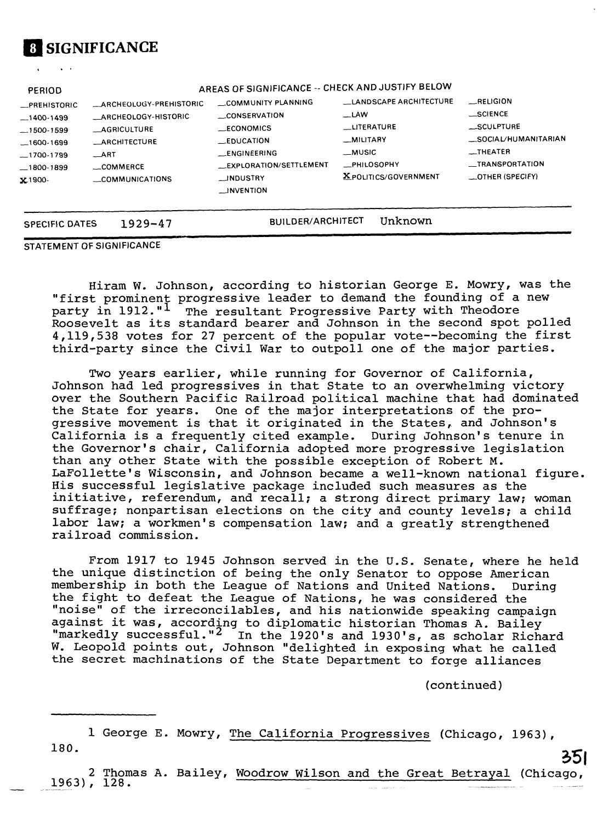

**PERIOD**

| AREAS OF SIGNIFICANCE -- CHECK AND JUSTIFY BELOW |  |
|--------------------------------------------------|--|
|                                                  |  |

| __PREHISTORIC  | ARCHEOLOGY-PREHISTORIC       | COMMUNITY PLANNING      | LANDSCAPE ARCHITECTURE      | <b>RELIGION</b>         |
|----------------|------------------------------|-------------------------|-----------------------------|-------------------------|
| $-1400-1499$   | <b>__ARCHEOLOGY-HISTORIC</b> | <b>CONSERVATION</b>     | $\Box$ LAW                  | __SCIENCE               |
| $-1500-1599$   | <b>AGRICULTURE</b>           | <b>ECONOMICS</b>        | <b>LITERATURE</b>           | SCULPTURE               |
| $-1600-1699$   | <b>__ARCHITECTURE</b>        | <b>EDUCATION</b>        | _MILITARY                   | __SOCIAL/HUMANITARIAN   |
| $-1700-1799$   | ART                          | __ENGINEERING           | _MUSIC                      | <b>__THEATER</b>        |
| $-1800 - 1899$ | COMMERCE                     | _EXPLORATION/SETTLEMENT | <b>__PHILOSOPHY</b>         | __TRANSPORTATION        |
| $x1900 -$      | COMMUNICATIONS               | __INDUSTRY              | <b>XPOLITICS/GOVERNMENT</b> | <b>COTHER (SPECIFY)</b> |
|                |                              | __INVENTION             |                             |                         |

**SPECIFIC DATES 1929-47** BUILDER/ARCHITECT Unknown

**STATEMENT OF SIGNIFICANCE**

Hiram W. Johnson, according to historian George E. Mowry, was the "first prominent progressive leader to demand the founding of a new party in 1912."<sup>1</sup> The resultant Progressive Party with Theodore Roosevelt as its standard bearer and Johnson in the second spot polled 4,119,538 votes for 27 percent of the popular vote—becoming the first third-party since the Civil War to outpoll one of the major parties.

Two years earlier, while running for Governor of California, Johnson had led progressives in that State to an overwhelming victory over the Southern Pacific Railroad political machine that had dominated the State for years. One of the major interpretations of the progressive movement is that it originated in the States, and Johnson's California is a frequently cited example. During Johnson's tenure in the Governor's chair, California adopted more progressive legislation than any other State with the possible exception of Robert M. LaFollette's Wisconsin, and Johnson became a well-known national figure. His successful legislative package included such measures as the initiative, referendum, and recall; a strong direct primary law; woman suffrage; nonpartisan elections on the city and county levels; a child labor law; a workmen's compensation law; and a greatly strengthened railroad commission.

From 1917 to 1945 Johnson served in the U.S. Senate, where he held the unique distinction of being the only Senator to oppose American membership in both the League of Nations and United Nations. During the fight to defeat the League of Nations, he was considered the "noise" of the irreconcilables, and his nationwide speaking campaign against it was, according to diplomatic historian Thomas A. Bailey "markedly successful."<sup>2</sup> In the 1920's and 1930's, as scholar Richard W. Leopold points out, Johnson "delighted in exposing what he called the secret machinations of the State Department to forge alliances

(continued)

1 George E. Mowry, The California Progressives (Chicago, 1963), 180.

2 Thomas A. Bailey, Woodrow Wilson and the Great Betrayal (Chicago, 1963), 128.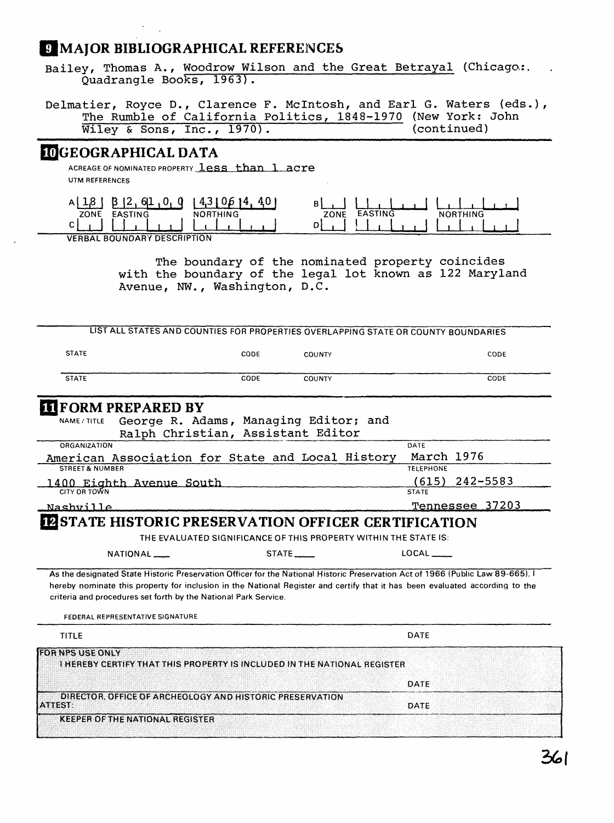### **BIBLIOGRAPHICAL REFERENCES**

Bailey, Thomas A., Woodrow Wilson and the Great Betrayal (Chicago,:. Quadrangle Books, 1963) .

Delmatier, Royce D., Clarence F. McIntosh, and Earl G. Waters (eds.), The Rumble of California Politics, 1848-1970 (New York: John Wiley & Sons, Inc., 1970). Wiley & Sons, Inc.,  $1970$ ).

### **[^GEOGRAPHICAL DATA**

ACREAGE OF NOMINATED PROPERTY **less than 1 acre UTM REFERENCES**

| 4.1<br>---                         |                                                     |
|------------------------------------|-----------------------------------------------------|
| ZONE<br><b>NORTHING</b><br>EASTING | <b>EASTING</b><br>$\triangle$ RTHING<br>ZONE<br>.NC |
| ⌒                                  |                                                     |
| VEDDAL POLINDADY DECOPOTION        |                                                     |

**VERBAL BOUNDARY DESCRIPTION**

The boundary of the nominated property coincides with the boundary of the legal lot known as 122 Maryland Avenue, NW. , Washington, D.C.

| LIST ALL STATES AND COUNTIES FOR PROPERTIES OVERLAPPING STATE OR COUNTY BOUNDARIES                                                                                                                                                                                                                                                                                     |      |                                                                  |                                  |
|------------------------------------------------------------------------------------------------------------------------------------------------------------------------------------------------------------------------------------------------------------------------------------------------------------------------------------------------------------------------|------|------------------------------------------------------------------|----------------------------------|
| <b>STATE</b>                                                                                                                                                                                                                                                                                                                                                           | CODE | <b>COUNTY</b>                                                    | CODE                             |
| <b>STATE</b>                                                                                                                                                                                                                                                                                                                                                           | CODE | <b>COUNTY</b>                                                    | CODE                             |
| <b>IT FORM PREPARED BY</b>                                                                                                                                                                                                                                                                                                                                             |      |                                                                  |                                  |
| NAME / TITLE<br>Ralph Christian, Assistant Editor                                                                                                                                                                                                                                                                                                                      |      | George R. Adams, Managing Editor; and                            |                                  |
| <b>ORGANIZATION</b>                                                                                                                                                                                                                                                                                                                                                    |      |                                                                  | DATE                             |
| American Association for State and Local History                                                                                                                                                                                                                                                                                                                       |      |                                                                  | March 1976                       |
| <b>STREET &amp; NUMBER</b>                                                                                                                                                                                                                                                                                                                                             |      |                                                                  | <b>TELEPHONE</b>                 |
| 1400 Eighth Avenue South<br>CITY OR TOWN                                                                                                                                                                                                                                                                                                                               |      |                                                                  | $(615)$ 242-5583<br><b>STATE</b> |
| Nashville                                                                                                                                                                                                                                                                                                                                                              |      |                                                                  | Tennessee 37203                  |
| <b>IZ STATE HISTORIC PRESERVATION OFFICER CERTIFICATION</b>                                                                                                                                                                                                                                                                                                            |      |                                                                  |                                  |
|                                                                                                                                                                                                                                                                                                                                                                        |      | THE EVALUATED SIGNIFICANCE OF THIS PROPERTY WITHIN THE STATE IS: |                                  |
| NATIONAL <sub>-</sub>                                                                                                                                                                                                                                                                                                                                                  |      | STATE ______                                                     | LOCAL                            |
| As the designated State Historic Preservation Officer for the National Historic Preservation Act of 1966 (Public Law 89-665). I<br>hereby nominate this property for inclusion in the National Register and certify that it has been evaluated according to the<br>criteria and procedures set forth by the National Park Service.<br>FEDERAL REPRESENTATIVE SIGNATURE |      |                                                                  |                                  |
| <b>TITLE</b>                                                                                                                                                                                                                                                                                                                                                           |      |                                                                  | DATE                             |
| <b>FOR NPS USE ONLY</b><br>I HEREBY CERTIFY THAT THIS PROPERTY IS INCLUDED IN THE NATIONAL REGISTER                                                                                                                                                                                                                                                                    |      |                                                                  |                                  |
|                                                                                                                                                                                                                                                                                                                                                                        |      |                                                                  | DATE                             |
| DIRECTOR, OFFICE OF ARCHEOLOGY AND HISTORIC PRESERVATION<br>ATTEST:                                                                                                                                                                                                                                                                                                    |      |                                                                  | DATE                             |
|                                                                                                                                                                                                                                                                                                                                                                        |      |                                                                  |                                  |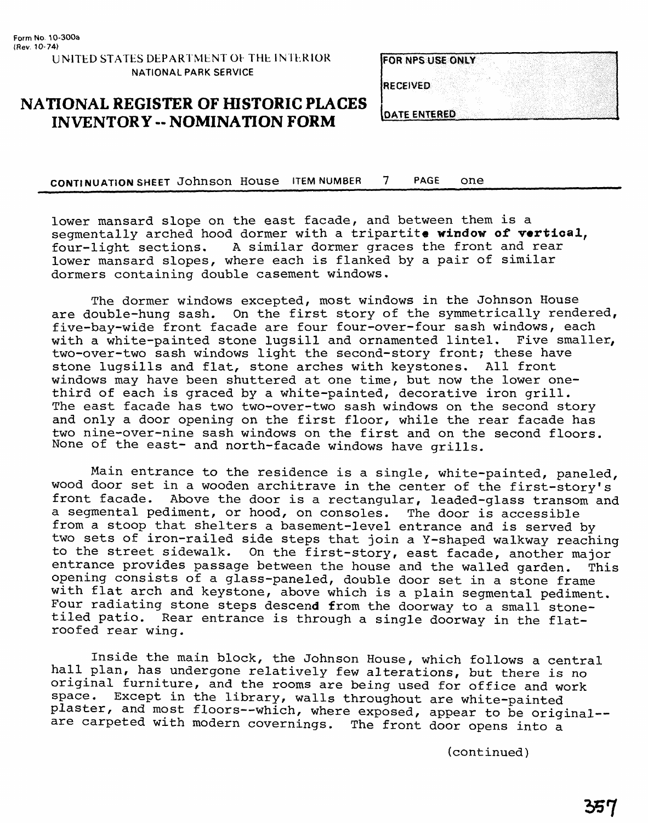| FOR NPS USE ONLY |  |  |
|------------------|--|--|
|                  |  |  |
|                  |  |  |
|                  |  |  |
| <b>RECEIVED</b>  |  |  |

# **NATIONAL REGISTER OF HISTORIC PLACES<br>INVENTORY -- NOMINATION FORM**

| <b>ATE ENTERED</b> |  |
|--------------------|--|
|                    |  |
|                    |  |

**CONTINUATION SHEET** Johnson House ITEM NUMBER 7 PAGE one\_\_\_\_\_\_\_\_\_\_\_\_\_\_\_\_\_\_\_

lower mansard slope on the east facade, and between them is a segmentally arched hood dormer with a tripartite **window of vertical,**  four-light sections. A similar dormer graces the front and rear lower mansard slopes, where each is flanked by a pair of similar dormers containing double casement windows.

The dormer windows excepted, most windows in the Johnson House are double-hung sash. On the first story of the symmetrically rendered, five-bay-wide front facade are four four-over-four sash windows, each with a white-painted stone lugsill and ornamented lintel. Five smaller, two-over-two sash windows light the second-story front; these have stone lugsills and flat, stone arches with keystones. All front windows may have been shuttered at one time, but now the lower onethird of each is graced by a white-painted, decorative iron grill. The east facade has two two-over-two sash windows on the second story and only a door opening on the first floor, while the rear facade has two nine-over-nine sash windows on the first and on the second floors. None of the east- and north-facade windows have grills.

Main entrance to the residence is a single, white-painted, paneled, wood door set in a wooden architrave in the center of the first-story's front facade. Above the door is a rectangular, leaded-glass transom and a segmental pediment, or hood, on consoles. The door is accessible from a stoop that shelters a basement-level entrance and is served by two sets of iron-railed side steps that join a Y-shaped walkway reaching to the street sidewalk. On the first-story, east facade, another major entrance provides passage between the house and the walled garden. This opening consists of a glass-paneled, double door set in a stone frame with flat arch and keystone, above which is a plain segmental pediment. Four radiating stone steps descend from the doorway to a small stonetiled patio. Rear entrance is through a single doorway in the flatroofed rear wing.

Inside the main block, the Johnson House, which follows a central hall plan, has undergone relatively few alterations, but there is no original furniture, and the rooms are being used for office and work space. Except in the library, walls throughout are white-painted plaster, and most floors--which, where exposed, appear to be original-are carpeted with modern covernings. The front door opens into a

(continued)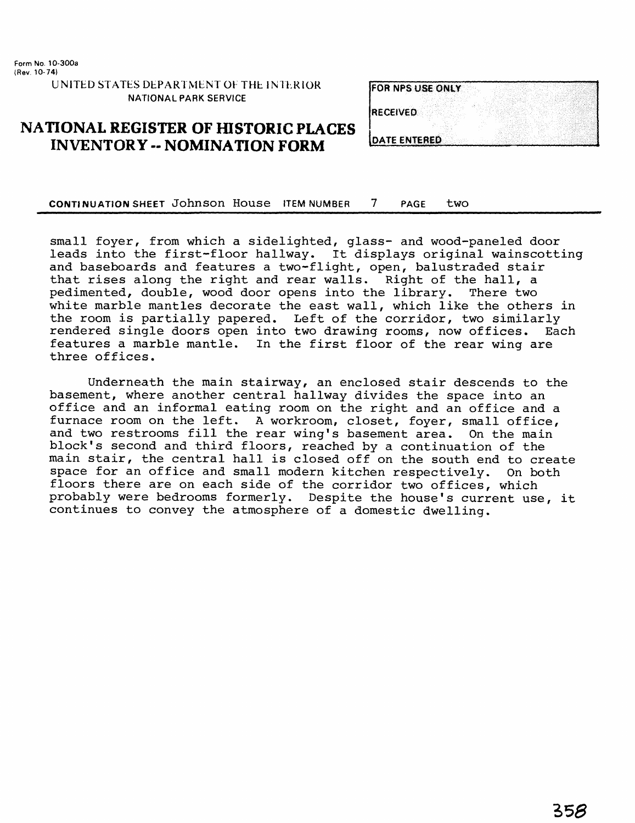**Form No. 10-300a (Rev. 10-74) UNITED STATES DEPARTMENT OF THE INTERIOR NATIONAL PARK SERVICE**

### **NATIONAL REGISTER OF HISTORIC PLACES INVENTORY -- NOMINATION FORM**

| <b>FOR NPS USE ONLY</b> |  |
|-------------------------|--|
|                         |  |
| <b>RECEIVED</b>         |  |
|                         |  |
| <b>JOATE ENTERED</b>    |  |

**CONTINUATION SHEET JOHNSON HOUSE ITEM NUMBER 7 PAGE two** 

small foyer, from which a sidelighted, glass- and wood-paneled door leads into the first-floor hallway. It displays original wainscotting and baseboards and features a two-flight, open, balustraded stair that rises along the right and rear walls. Right of the hall, a pedimented, double, wood door opens into the library. There two pedimented, double, wood door opens into the library. white marble mantles decorate the east wall, which like the others in the room is partially papered. Left of the corridor, two similarly rendered single doors open into two drawing rooms, now offices. Each rendered single doors open into two drawing rooms, now offices. features a marble mantle. In the first floor of the rear wing are three offices.

Underneath the main stairway, an enclosed stair descends to the basement, where another central hallway divides the space into an office and an informal eating room on the right and an office and a<br>furnace room on the left. A workroom, closet, fover, small office, A workroom, closet, foyer, small office, and two restrooms fill the rear wing's basement area. On the main block's second and third floors, reached by a continuation of the main stair, the central hall is closed off on the south end to create space for an office and small modern kitchen respectively. On both floors there are on each side of the corridor two offices, which probably were bedrooms formerly. Despite the house's current use, it continues to convey the atmosphere of a domestic dwelling.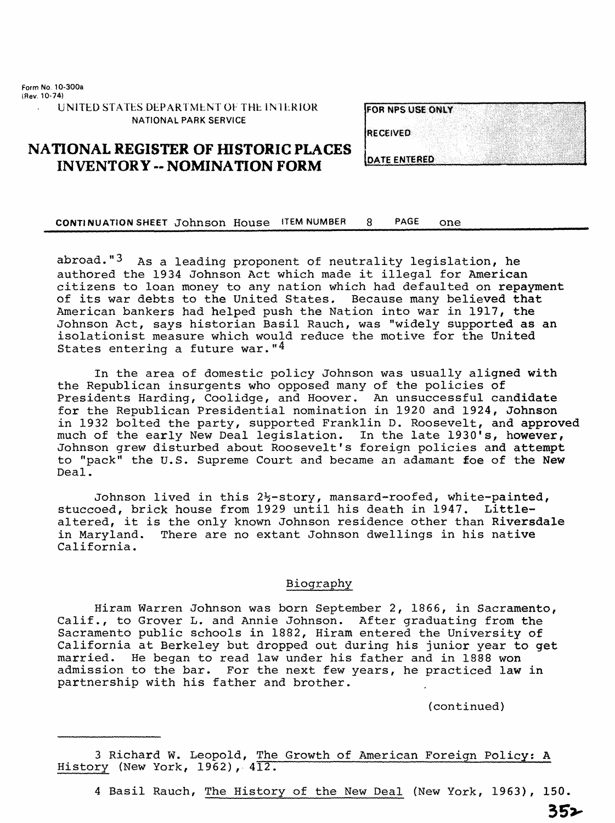Form No. 10-300a (Rev, 10-74}

UNITED STATES DEPARTMENT OF THE INTERIOR. NATIONAL PARK SERVICE

| <b>FOR NPS USE ONLY</b> |  |  |
|-------------------------|--|--|
|                         |  |  |
|                         |  |  |
|                         |  |  |
|                         |  |  |
| RECEIVED                |  |  |
|                         |  |  |
|                         |  |  |
|                         |  |  |
|                         |  |  |
|                         |  |  |

### **NATIONAL REGISTER OF HISTORIC PLACES INVENTORY -- NOMINATION FORM DATE ENTERED**

CONTINUATION SHEET Johnson House ITEM NUMBER 8 PAGE one

abroad." $3$  As a leading proponent of neutrality legislation, he authored the 1934 Johnson Act which made it illegal for American citizens to loan money to any nation which had defaulted on repayment of its war debts to the United States. Because many believed that American bankers had helped push the Nation into war in 1917, the Johnson Act, says historian Basil Rauch, was "widely supported as an isolationist measure which would reduce the motive for the United States entering a future war." $4$ 

In the area of domestic policy Johnson was usually aligned with the Republican insurgents who opposed many of the policies of Presidents Harding, Coolidge, and Hoover, An unsuccessful candidate for the Republican Presidential nomination in 1920 and 1924, Johnson in 1932 bolted the party, supported Franklin D. Roosevelt, and approved much of the early New Deal legislation. In the late 1930's, however, Johnson grew disturbed about Roosevelt's foreign policies and attempt to "pack" the U.S. Supreme Court and became an adamant foe of the New Deal.

Johnson lived in this  $2\frac{1}{2}$ -story, mansard-roofed, white-painted, stuccoed, brick house from 1929 until his death in 1947. Littlealtered, it is the only known Johnson residence other than Riversdale in Maryland. There are no extant Johnson dwellings in his native California.

### Biography

Hiram Warren Johnson was born September 2, 1866, in Sacramento, Calif., to Grover L. and Annie Johnson. After graduating from the Sacramento public schools in 1882, Hiram entered the University of California at Berkeley but dropped out during his junior year to get married. He began to read law under his father and in 1888 won admission to the bar. For the next few years, he practiced law in partnership with his father and brother.

(continued)

3 Richard W. Leopold, The Growth of American Foreign Policy; A History (New York, 1962), 412.

4 Basil Rauch, The History of the New Deal (New York, 1963), 150.

352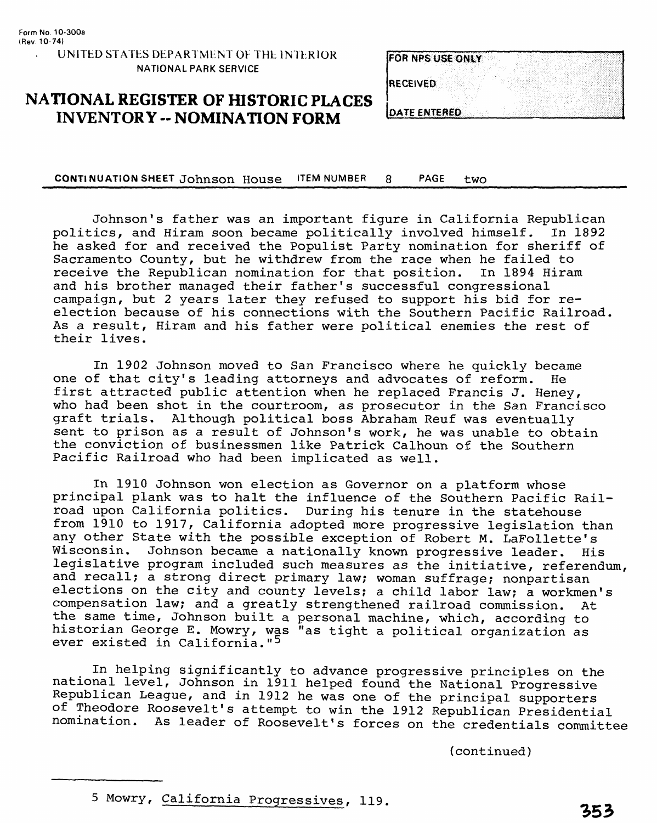# FOR NPS USE ONLY RECEIVED **DATE ENTERED**

### **NATIONAL REGISTER OF HISTORIC PLACES INVENTORY -- NOMINATION FORM**

CONTINUATION SHEET Johnson House ITEM NUMBER 8 PAGE two

Johnson's father was an important figure in California Republican politics, and Hiram soon became politically involved himself. he asked for and received the Populist Party nomination for sheriff of Sacramento County, but he withdrew from the race when he failed to<br>receive the Republican nomination for that position. In 1894 Hiram receive the Republican nomination for that position. and his brother managed their father's successful congressional campaign, but 2 years later they refused to support his bid for reelection because of his connections with the Southern Pacific Railroad. As a result, Hiram and his father were political enemies the rest of their lives.

In 1902 Johnson moved to San Francisco where he quickly became one of that city's leading attorneys and advocates of reform. He first attracted public attention when he replaced Francis J. Heney, who had been shot in the courtroom, as prosecutor in the San Francisco graft trials. Although political boss Abraham Reuf was eventually sent to prison as a result of Johnson's work, he was unable to obtain the conviction of businessmen like Patrick Calhoun of the Southern Pacific Railroad who had been implicated as well.

In 1910 Johnson won election as Governor on a platform whose principal plank was to halt the influence of the Southern Pacific Railroad upon California politics. During his tenure in the statehouse from 1910 to 1917, California adopted more progressive legislation than any other State with the possible exception of Robert M. LaFollette's<br>Wisconsin. Johnson became a nationally known progressive leader. His Johnson became a nationally known progressive leader. His legislative program included such measures as the initiative, referendum, and recall; a strong direct primary law; woman suffrage; nonpartisan elections on the city and county levels; a child labor law; a workmen's compensation law; and a greatly strengthened railroad commission. At the same time, Johnson built a personal machine, which, according to historian George E. Mowry, was "as tight a political organization as ever existed in California."<sup>5</sup>

In helping significantly to advance progressive principles on the national level, Johnson in 1911 helped found the National Progressive Republican League, and in 1912 he was one of the principal supporters of Theodore Roosevelt's attempt to win the 1912 Republican Presidential nomination. As leader of Roosevelt's forces on the credentials committee

(continued)

<sup>5</sup> Mowry, California Progressives, 119.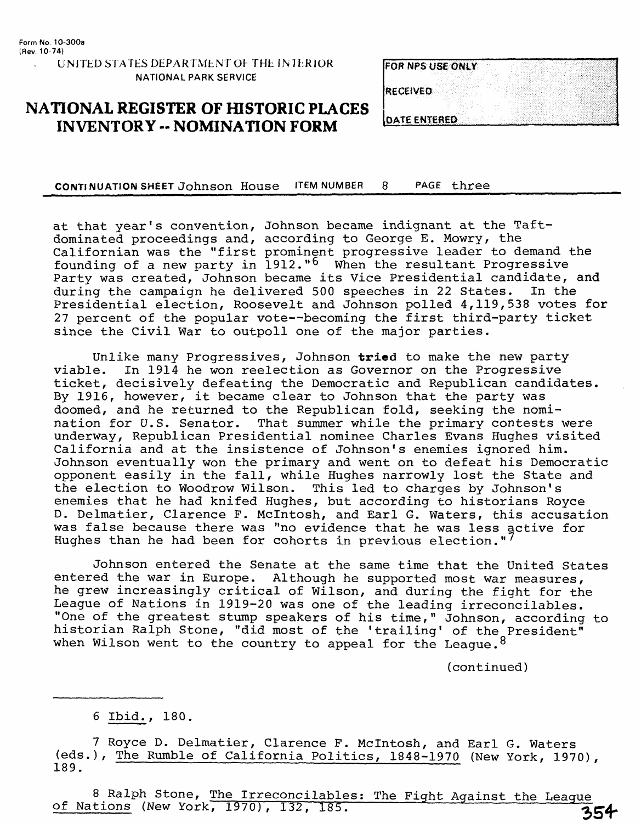# FOR NPS USE ONLY **RECEIVED**

### **NATIONAL REGISTER OF HISTORIC PLACES INVENTORY -- NOMINATION FORM LOATE ENTERED**

CONTINUATION SHEET Johnson House ITEM NUMBER 8 PAGE three

at that year's convention, Johnson became indignant at the Taftdominated proceedings and, according to George E. Mowry, the Californian was the "first prominent progressive leader to demand the founding of a new party in  $1912.^{6}$  When the resultant Progressive Party was created, Johnson became its Vice Presidential candidate, and during the campaign he delivered 500 speeches in 22 States. In the Presidential election, Roosevelt and Johnson polled 4,119,538 votes for 27 percent of the popular vote--becoming the first third-party ticket since the Civil War to outpoll one of the major parties.

Unlike many Progressives, Johnson **triad** to make the new party In 1914 he won reelection as Governor on the Progressive ticket, decisively defeating the Democratic and Republican candidates. By 1916, however, it became clear to Johnson that the party was doomed, and he returned to the Republican fold, seeking the nomination for U.S. Senator. That summer while the primary contests were underway, Republican Presidential nominee Charles Evans Hughes visited California and at the insistence of Johnson's enemies ignored him. Johnson eventually won the primary and went on to defeat his Democratic opponent easily in the fall, while Hughes narrowly lost the State and the election to Woodrow Wilson. This led to charges by Johnson's enemies that he had knifed Hughes, but according to historians Royce D. Delmatier, Clarence F. Mclntosh, and Earl G. Waters, this accusation was false because there was "no evidence that he was less active for Hughes than he had been for cohorts in previous election."<sup>'</sup>

Johnson entered the Senate at the same time that the United States entered the war in Europe. Although he supported most war measures, he grew increasingly critical of Wilson, and during the fight for the League of Nations in 1919-20 was one of the leading irreconcilables. "One of the greatest stump speakers of his time," Johnson, according to historian Ralph Stone, "did most of the 'trailing' of the President" when Wilson went to the country to appeal for the League.  $8$ 

(continued)

7 Royce D. Delmatier, Clarence F. Mclntosh, and Earl G. Waters (eds.), The Rumble of California Politics, 1848-1970 (New York, 1970), 189.

8 Ralph Stone, The Irreconcilables; The Fight Against the League of Nations (New York, 1970), 132, 185. 354

<sup>6</sup> Ibid., 180.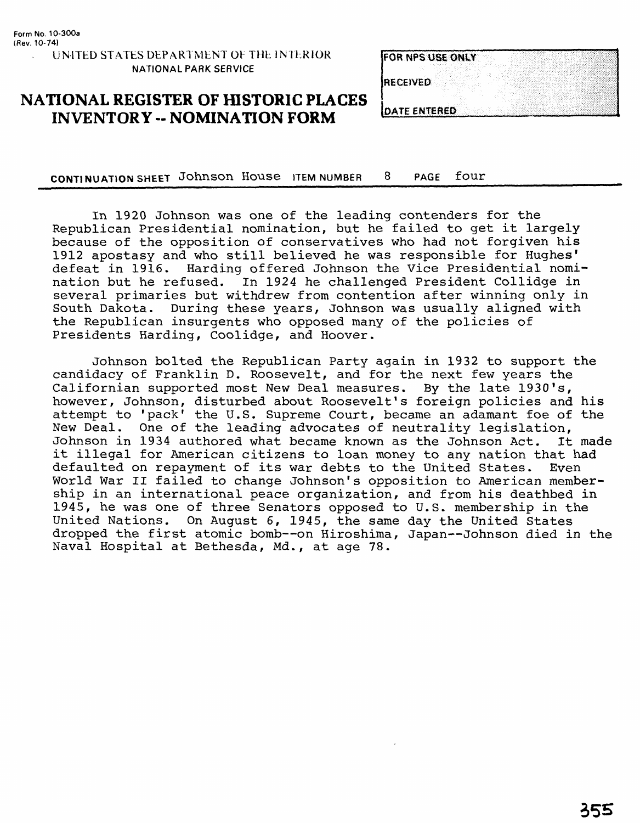| <b>IFOR NPS USE ONLY</b> |  |
|--------------------------|--|
|                          |  |
| <b>IRECEIVED</b>         |  |
|                          |  |
| <b>IDATE ENTERED</b>     |  |

### **NATIONAL REGISTER OF HISTORIC PLACES INVENTORY -- NOMINATION FORM**

**CONTINUATION SHEET** Johnson House ITEM NUMBER 8 PAGE fOUr\_\_\_\_\_\_\_\_\_\_\_\_\_\_\_\_\_\_

In 1920 Johnson was one of the leading contenders for the Republican Presidential nomination, but he failed to get it largely because of the opposition of conservatives who had not forgiven his 1912 apostasy and who still believed he was responsible for Hughes' defeat in 1916. Harding offered Johnson the Vice Presidential nomination but he refused. In 1924 he challenged President Collidge in several primaries but withdrew from contention after winning only in South Dakota. During these years, Johnson was usually aligned with the Republican insurgents who opposed many of the policies of Presidents Harding, Coolidge, and Hoover.

Johnson bolted the Republican Party again in 1932 to support the candidacy of Franklin D. Roosevelt, and for the next few years the Californian supported most New Deal measures. By the late 1930's, however, Johnson, disturbed about Roosevelt's foreign policies and his attempt to 'pack' the U.S. Supreme Court, became an adamant foe of the New Deal. One of the leading advocates of neutrality legislation,<br>Johnson in 1934 authored what became known as the Johnson Act. It made Johnson in 1934 authored what became known as the Johnson Act. it illegal for American citizens to loan money to any nation that had<br>defaulted on repayment of its war debts to the United States. Even defaulted on repayment of its war debts to the United States. World War II failed to change Johnson's opposition to American membership in an international peace organization, and from his deathbed in 1945, he was one of three Senators opposed to U.S. membership in the United Nations. On August 6, 1945, the same day the United States dropped the first atomic bomb--on Hiroshima, Japan--Johnson died in the Naval Hospital at Bethesda, Md., at age 78.